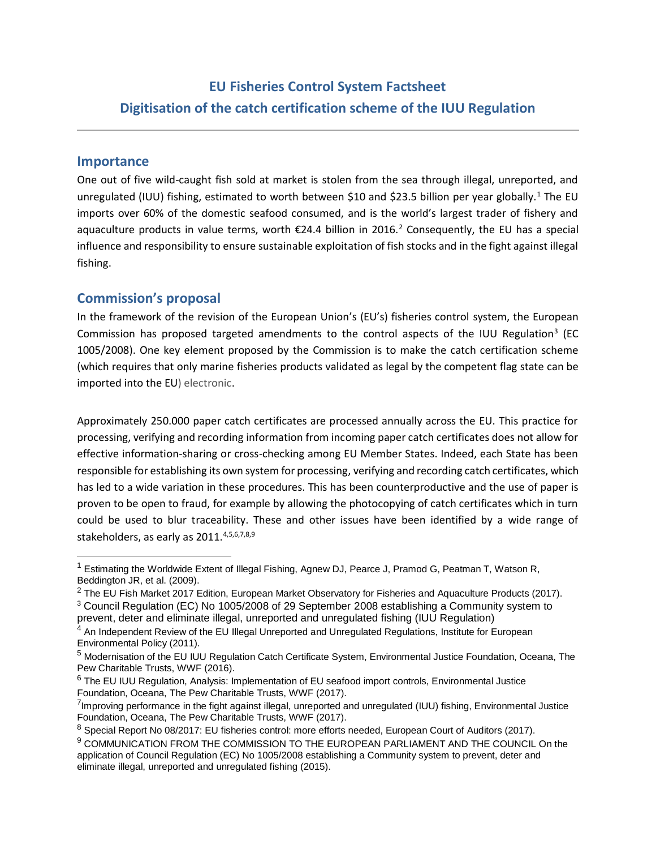#### **Importance**

 $\overline{a}$ 

One out of five wild-caught fish sold at market is stolen from the sea through illegal, unreported, and unregulated (IUU) fishing, estimated to worth between \$10 and \$23.5 billion per year globally.<sup>1</sup> The EU imports over 60% of the domestic seafood consumed, and is the world's largest trader of fishery and aquaculture products in value terms, worth €24.4 billion in 2016.<sup>2</sup> Consequently, the EU has a special influence and responsibility to ensure sustainable exploitation of fish stocks and in the fight against illegal fishing.

# **Commission's proposal**

In the framework of the revision of the European Union's (EU's) fisheries control system, the European Commission has proposed targeted amendments to the control aspects of the IUU Regulation<sup>3</sup> (EC 1005/2008). One key element proposed by the Commission is to make the catch certification scheme (which requires that only marine fisheries products validated as legal by the competent flag state can be imported into the EU) electronic.

Approximately 250.000 paper catch certificates are processed annually across the EU. This practice for processing, verifying and recording information from incoming paper catch certificates does not allow for effective information-sharing or cross-checking among EU Member States. Indeed, each State has been responsible for establishing its own system for processing, verifying and recording catch certificates, which has led to a wide variation in these procedures. This has been counterproductive and the use of paper is proven to be open to fraud, for example by allowing the photocopying of catch certificates which in turn could be used to blur traceability. These and other issues have been identified by a wide range of stakeholders, as early as 2011.<sup>4,5,6,7,8,9</sup>

<sup>&</sup>lt;sup>1</sup> Estimating the Worldwide Extent of Illegal Fishing, Agnew DJ, Pearce J, Pramod G, Peatman T, Watson R, Beddington JR, et al. (2009).

 $2$  The EU Fish Market 2017 Edition, European Market Observatory for Fisheries and Aquaculture Products (2017). <sup>3</sup> Council Regulation (EC) No 1005/2008 of 29 September 2008 establishing a Community system to

prevent, deter and eliminate illegal, unreported and unregulated fishing (IUU Regulation)

<sup>4</sup> An Independent Review of the EU Illegal Unreported and Unregulated Regulations, Institute for European Environmental Policy (2011).

<sup>5</sup> Modernisation of the EU IUU Regulation Catch Certificate System, Environmental Justice Foundation, Oceana, The Pew Charitable Trusts, WWF (2016)[.](http://www.iuuwatch.eu/wp-content/uploads/2017/01/MOD-CASE-STUDY-Revised-7.pdf) 

<sup>&</sup>lt;sup>6</sup> The EU IUU Regulation, Analysis: Implementation of EU seafood import controls, Environmental Justice Foundation, Oceana, The Pew Charitable Trusts, WWF (2017).

<sup>&</sup>lt;sup>7</sup>Improving performance in the fight against illegal, unreported and unregulated (IUU) fishing, Environmental Justice Foundation, Oceana, The Pew Charitable Trusts, WWF (2017).

<sup>&</sup>lt;sup>8</sup> Special Report No 08/2017: EU fisheries control: more efforts needed, European Court of Auditors (2017).

<sup>&</sup>lt;sup>9</sup> COMMUNICATION FROM THE COMMISSION TO THE EUROPEAN PARLIAMENT AND THE COUNCIL On the application of Council Regulation (EC) No 1005/2008 establishing a Community system to prevent, deter and eliminate illegal, unreported and unregulated fishing (2015).